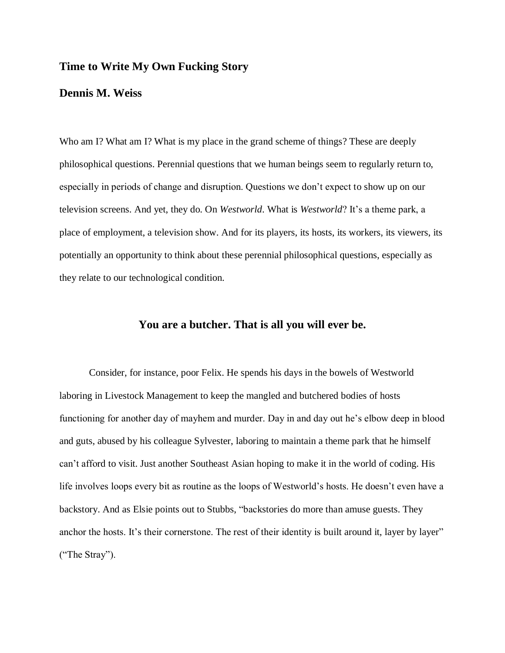# **Time to Write My Own Fucking Story**

#### **Dennis M. Weiss**

Who am I? What am I? What is my place in the grand scheme of things? These are deeply philosophical questions. Perennial questions that we human beings seem to regularly return to, especially in periods of change and disruption. Questions we don't expect to show up on our television screens. And yet, they do. On *Westworld*. What is *Westworld*? It's a theme park, a place of employment, a television show. And for its players, its hosts, its workers, its viewers, its potentially an opportunity to think about these perennial philosophical questions, especially as they relate to our technological condition.

### **You are a butcher. That is all you will ever be.**

Consider, for instance, poor Felix. He spends his days in the bowels of Westworld laboring in Livestock Management to keep the mangled and butchered bodies of hosts functioning for another day of mayhem and murder. Day in and day out he's elbow deep in blood and guts, abused by his colleague Sylvester, laboring to maintain a theme park that he himself can't afford to visit. Just another Southeast Asian hoping to make it in the world of coding. His life involves loops every bit as routine as the loops of Westworld's hosts. He doesn't even have a backstory. And as Elsie points out to Stubbs, "backstories do more than amuse guests. They anchor the hosts. It's their cornerstone. The rest of their identity is built around it, layer by layer" ("The Stray").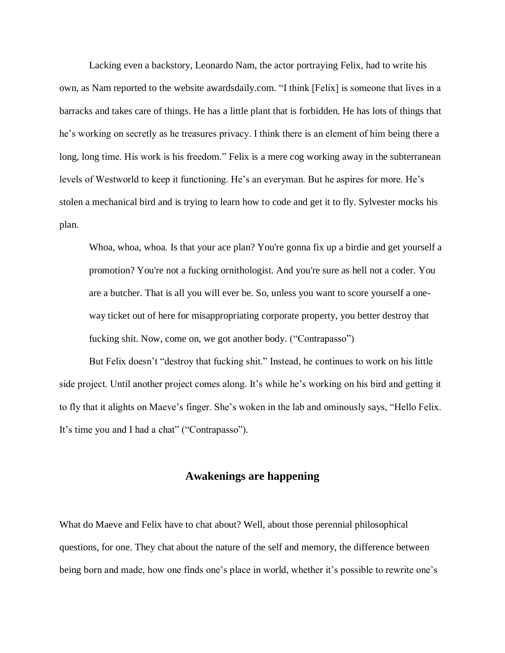Lacking even a backstory, Leonardo Nam, the actor portraying Felix, had to write his own, as Nam reported to the website awardsdaily.com. "I think [Felix] is someone that lives in a barracks and takes care of things. He has a little plant that is forbidden. He has lots of things that he's working on secretly as he treasures privacy. I think there is an element of him being there a long, long time. His work is his freedom." Felix is a mere cog working away in the subterranean levels of Westworld to keep it functioning. He's an everyman. But he aspires for more. He's stolen a mechanical bird and is trying to learn how to code and get it to fly. Sylvester mocks his plan.

Whoa, whoa, whoa. Is that your ace plan? You're gonna fix up a birdie and get yourself a promotion? You're not a fucking ornithologist. And you're sure as hell not a coder. You are a butcher. That is all you will ever be. So, unless you want to score yourself a oneway ticket out of here for misappropriating corporate property, you better destroy that fucking shit. Now, come on, we got another body. ("Contrapasso")

But Felix doesn't "destroy that fucking shit." Instead, he continues to work on his little side project. Until another project comes along. It's while he's working on his bird and getting it to fly that it alights on Maeve's finger. She's woken in the lab and ominously says, "Hello Felix. It's time you and I had a chat" ("Contrapasso").

### **Awakenings are happening**

What do Maeve and Felix have to chat about? Well, about those perennial philosophical questions, for one. They chat about the nature of the self and memory, the difference between being born and made, how one finds one's place in world, whether it's possible to rewrite one's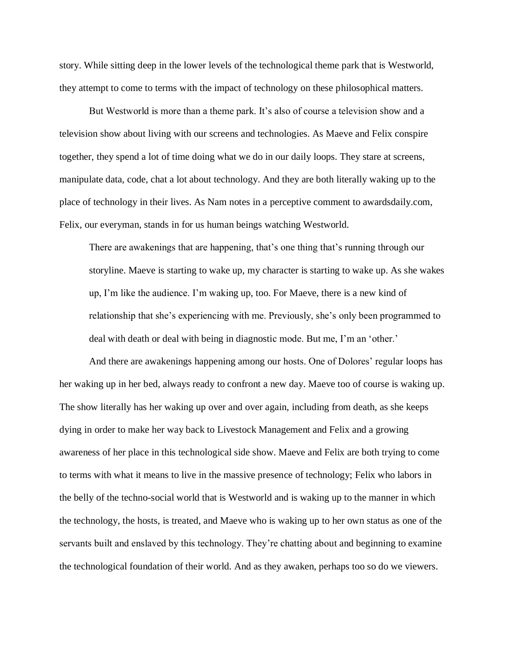story. While sitting deep in the lower levels of the technological theme park that is Westworld, they attempt to come to terms with the impact of technology on these philosophical matters.

But Westworld is more than a theme park. It's also of course a television show and a television show about living with our screens and technologies. As Maeve and Felix conspire together, they spend a lot of time doing what we do in our daily loops. They stare at screens, manipulate data, code, chat a lot about technology. And they are both literally waking up to the place of technology in their lives. As Nam notes in a perceptive comment to awardsdaily.com, Felix, our everyman, stands in for us human beings watching Westworld.

There are awakenings that are happening, that's one thing that's running through our storyline. Maeve is starting to wake up, my character is starting to wake up. As she wakes up, I'm like the audience. I'm waking up, too. For Maeve, there is a new kind of relationship that she's experiencing with me. Previously, she's only been programmed to deal with death or deal with being in diagnostic mode. But me, I'm an 'other.'

And there are awakenings happening among our hosts. One of Dolores' regular loops has her waking up in her bed, always ready to confront a new day. Maeve too of course is waking up. The show literally has her waking up over and over again, including from death, as she keeps dying in order to make her way back to Livestock Management and Felix and a growing awareness of her place in this technological side show. Maeve and Felix are both trying to come to terms with what it means to live in the massive presence of technology; Felix who labors in the belly of the techno-social world that is Westworld and is waking up to the manner in which the technology, the hosts, is treated, and Maeve who is waking up to her own status as one of the servants built and enslaved by this technology. They're chatting about and beginning to examine the technological foundation of their world. And as they awaken, perhaps too so do we viewers.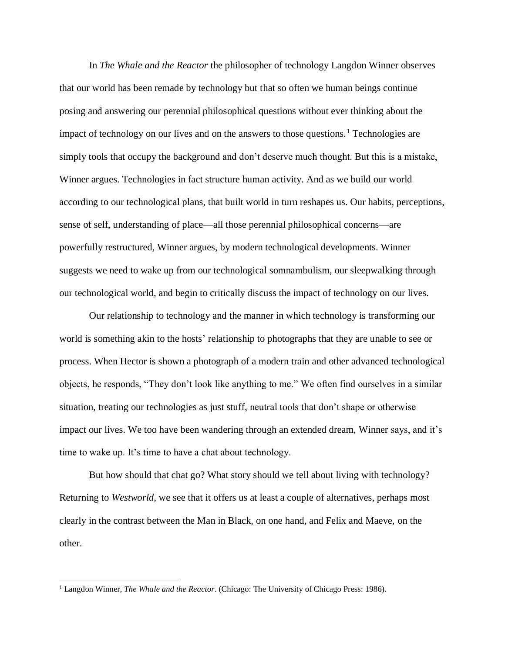In *The Whale and the Reactor* the philosopher of technology Langdon Winner observes that our world has been remade by technology but that so often we human beings continue posing and answering our perennial philosophical questions without ever thinking about the impact of technology on our lives and on the answers to those questions.<sup>1</sup> Technologies are simply tools that occupy the background and don't deserve much thought. But this is a mistake, Winner argues. Technologies in fact structure human activity. And as we build our world according to our technological plans, that built world in turn reshapes us. Our habits, perceptions, sense of self, understanding of place—all those perennial philosophical concerns—are powerfully restructured, Winner argues, by modern technological developments. Winner suggests we need to wake up from our technological somnambulism, our sleepwalking through our technological world, and begin to critically discuss the impact of technology on our lives.

Our relationship to technology and the manner in which technology is transforming our world is something akin to the hosts' relationship to photographs that they are unable to see or process. When Hector is shown a photograph of a modern train and other advanced technological objects, he responds, "They don't look like anything to me." We often find ourselves in a similar situation, treating our technologies as just stuff, neutral tools that don't shape or otherwise impact our lives. We too have been wandering through an extended dream, Winner says, and it's time to wake up. It's time to have a chat about technology.

But how should that chat go? What story should we tell about living with technology? Returning to *Westworld*, we see that it offers us at least a couple of alternatives, perhaps most clearly in the contrast between the Man in Black, on one hand, and Felix and Maeve, on the other.

 $\overline{a}$ 

<sup>1</sup> Langdon Winner, *The Whale and the Reactor*. (Chicago: The University of Chicago Press: 1986).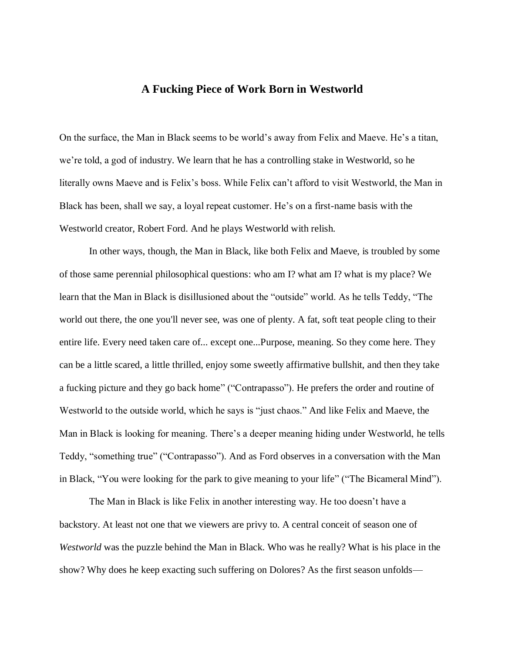# **A Fucking Piece of Work Born in Westworld**

On the surface, the Man in Black seems to be world's away from Felix and Maeve. He's a titan, we're told, a god of industry. We learn that he has a controlling stake in Westworld, so he literally owns Maeve and is Felix's boss. While Felix can't afford to visit Westworld, the Man in Black has been, shall we say, a loyal repeat customer. He's on a first-name basis with the Westworld creator, Robert Ford. And he plays Westworld with relish.

In other ways, though, the Man in Black, like both Felix and Maeve, is troubled by some of those same perennial philosophical questions: who am I? what am I? what is my place? We learn that the Man in Black is disillusioned about the "outside" world. As he tells Teddy, "The world out there, the one you'll never see, was one of plenty. A fat, soft teat people cling to their entire life. Every need taken care of... except one...Purpose, meaning. So they come here. They can be a little scared, a little thrilled, enjoy some sweetly affirmative bullshit, and then they take a fucking picture and they go back home" ("Contrapasso"). He prefers the order and routine of Westworld to the outside world, which he says is "just chaos." And like Felix and Maeve, the Man in Black is looking for meaning. There's a deeper meaning hiding under Westworld, he tells Teddy, "something true" ("Contrapasso"). And as Ford observes in a conversation with the Man in Black, "You were looking for the park to give meaning to your life" ("The Bicameral Mind").

The Man in Black is like Felix in another interesting way. He too doesn't have a backstory. At least not one that we viewers are privy to. A central conceit of season one of *Westworld* was the puzzle behind the Man in Black. Who was he really? What is his place in the show? Why does he keep exacting such suffering on Dolores? As the first season unfolds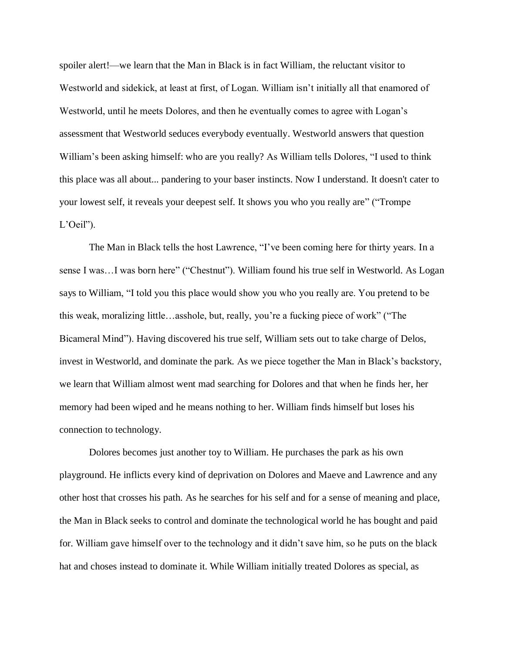spoiler alert!—we learn that the Man in Black is in fact William, the reluctant visitor to Westworld and sidekick, at least at first, of Logan. William isn't initially all that enamored of Westworld, until he meets Dolores, and then he eventually comes to agree with Logan's assessment that Westworld seduces everybody eventually. Westworld answers that question William's been asking himself: who are you really? As William tells Dolores, "I used to think this place was all about... pandering to your baser instincts. Now I understand. It doesn't cater to your lowest self, it reveals your deepest self. It shows you who you really are" ("Trompe L'Oeil").

The Man in Black tells the host Lawrence, "I've been coming here for thirty years. In a sense I was…I was born here" ("Chestnut"). William found his true self in Westworld. As Logan says to William, "I told you this place would show you who you really are. You pretend to be this weak, moralizing little…asshole, but, really, you're a fucking piece of work" ("The Bicameral Mind"). Having discovered his true self, William sets out to take charge of Delos, invest in Westworld, and dominate the park. As we piece together the Man in Black's backstory, we learn that William almost went mad searching for Dolores and that when he finds her, her memory had been wiped and he means nothing to her. William finds himself but loses his connection to technology.

Dolores becomes just another toy to William. He purchases the park as his own playground. He inflicts every kind of deprivation on Dolores and Maeve and Lawrence and any other host that crosses his path. As he searches for his self and for a sense of meaning and place, the Man in Black seeks to control and dominate the technological world he has bought and paid for. William gave himself over to the technology and it didn't save him, so he puts on the black hat and choses instead to dominate it. While William initially treated Dolores as special, as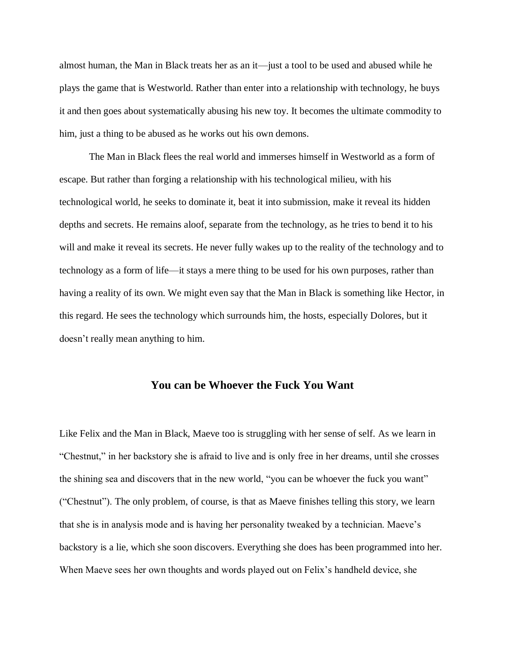almost human, the Man in Black treats her as an it—just a tool to be used and abused while he plays the game that is Westworld. Rather than enter into a relationship with technology, he buys it and then goes about systematically abusing his new toy. It becomes the ultimate commodity to him, just a thing to be abused as he works out his own demons.

The Man in Black flees the real world and immerses himself in Westworld as a form of escape. But rather than forging a relationship with his technological milieu, with his technological world, he seeks to dominate it, beat it into submission, make it reveal its hidden depths and secrets. He remains aloof, separate from the technology, as he tries to bend it to his will and make it reveal its secrets. He never fully wakes up to the reality of the technology and to technology as a form of life—it stays a mere thing to be used for his own purposes, rather than having a reality of its own. We might even say that the Man in Black is something like Hector, in this regard. He sees the technology which surrounds him, the hosts, especially Dolores, but it doesn't really mean anything to him.

#### **You can be Whoever the Fuck You Want**

Like Felix and the Man in Black, Maeve too is struggling with her sense of self. As we learn in "Chestnut," in her backstory she is afraid to live and is only free in her dreams, until she crosses the shining sea and discovers that in the new world, "you can be whoever the fuck you want" ("Chestnut"). The only problem, of course, is that as Maeve finishes telling this story, we learn that she is in analysis mode and is having her personality tweaked by a technician. Maeve's backstory is a lie, which she soon discovers. Everything she does has been programmed into her. When Maeve sees her own thoughts and words played out on Felix's handheld device, she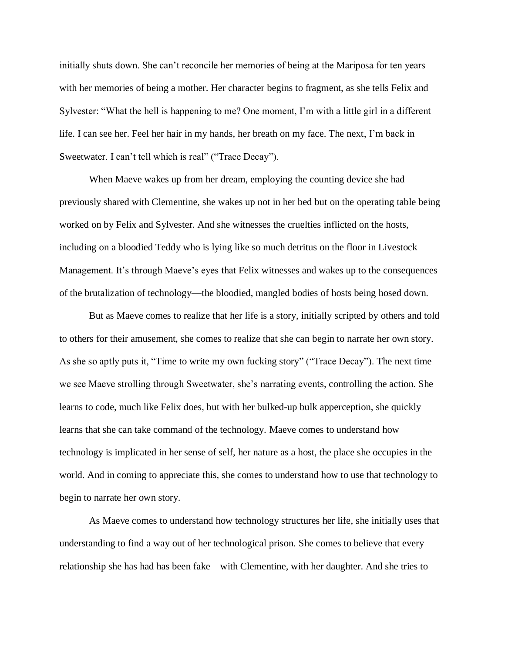initially shuts down. She can't reconcile her memories of being at the Mariposa for ten years with her memories of being a mother. Her character begins to fragment, as she tells Felix and Sylvester: "What the hell is happening to me? One moment, I'm with a little girl in a different life. I can see her. Feel her hair in my hands, her breath on my face. The next, I'm back in Sweetwater. I can't tell which is real" ("Trace Decay").

When Maeve wakes up from her dream, employing the counting device she had previously shared with Clementine, she wakes up not in her bed but on the operating table being worked on by Felix and Sylvester. And she witnesses the cruelties inflicted on the hosts, including on a bloodied Teddy who is lying like so much detritus on the floor in Livestock Management. It's through Maeve's eyes that Felix witnesses and wakes up to the consequences of the brutalization of technology—the bloodied, mangled bodies of hosts being hosed down.

But as Maeve comes to realize that her life is a story, initially scripted by others and told to others for their amusement, she comes to realize that she can begin to narrate her own story. As she so aptly puts it, "Time to write my own fucking story" ("Trace Decay"). The next time we see Maeve strolling through Sweetwater, she's narrating events, controlling the action. She learns to code, much like Felix does, but with her bulked-up bulk apperception, she quickly learns that she can take command of the technology. Maeve comes to understand how technology is implicated in her sense of self, her nature as a host, the place she occupies in the world. And in coming to appreciate this, she comes to understand how to use that technology to begin to narrate her own story.

As Maeve comes to understand how technology structures her life, she initially uses that understanding to find a way out of her technological prison. She comes to believe that every relationship she has had has been fake—with Clementine, with her daughter. And she tries to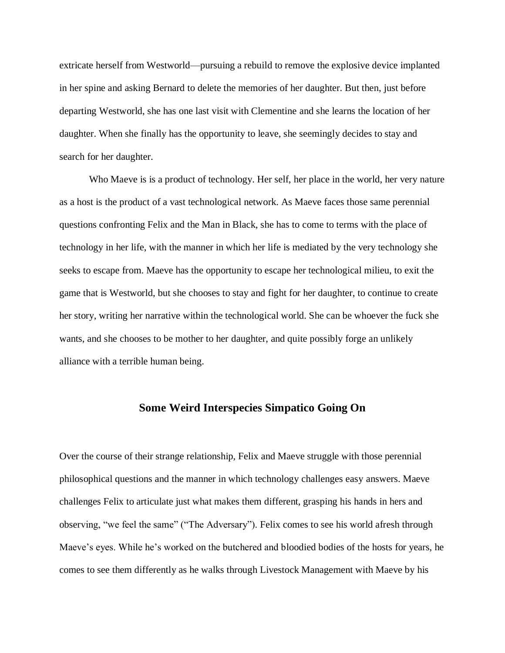extricate herself from Westworld—pursuing a rebuild to remove the explosive device implanted in her spine and asking Bernard to delete the memories of her daughter. But then, just before departing Westworld, she has one last visit with Clementine and she learns the location of her daughter. When she finally has the opportunity to leave, she seemingly decides to stay and search for her daughter.

Who Maeve is is a product of technology. Her self, her place in the world, her very nature as a host is the product of a vast technological network. As Maeve faces those same perennial questions confronting Felix and the Man in Black, she has to come to terms with the place of technology in her life, with the manner in which her life is mediated by the very technology she seeks to escape from. Maeve has the opportunity to escape her technological milieu, to exit the game that is Westworld, but she chooses to stay and fight for her daughter, to continue to create her story, writing her narrative within the technological world. She can be whoever the fuck she wants, and she chooses to be mother to her daughter, and quite possibly forge an unlikely alliance with a terrible human being.

#### **Some Weird Interspecies Simpatico Going On**

Over the course of their strange relationship, Felix and Maeve struggle with those perennial philosophical questions and the manner in which technology challenges easy answers. Maeve challenges Felix to articulate just what makes them different, grasping his hands in hers and observing, "we feel the same" ("The Adversary"). Felix comes to see his world afresh through Maeve's eyes. While he's worked on the butchered and bloodied bodies of the hosts for years, he comes to see them differently as he walks through Livestock Management with Maeve by his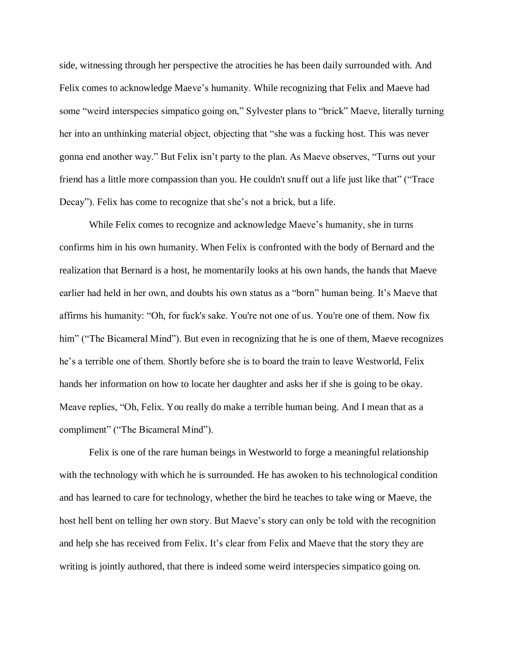side, witnessing through her perspective the atrocities he has been daily surrounded with. And Felix comes to acknowledge Maeve's humanity. While recognizing that Felix and Maeve had some "weird interspecies simpatico going on," Sylvester plans to "brick" Maeve, literally turning her into an unthinking material object, objecting that "she was a fucking host. This was never gonna end another way." But Felix isn't party to the plan. As Maeve observes, "Turns out your friend has a little more compassion than you. He couldn't snuff out a life just like that" ("Trace Decay"). Felix has come to recognize that she's not a brick, but a life.

While Felix comes to recognize and acknowledge Maeve's humanity, she in turns confirms him in his own humanity. When Felix is confronted with the body of Bernard and the realization that Bernard is a host, he momentarily looks at his own hands, the hands that Maeve earlier had held in her own, and doubts his own status as a "born" human being. It's Maeve that affirms his humanity: "Oh, for fuck's sake. You're not one of us. You're one of them. Now fix him" ("The Bicameral Mind"). But even in recognizing that he is one of them, Maeve recognizes he's a terrible one of them. Shortly before she is to board the train to leave Westworld, Felix hands her information on how to locate her daughter and asks her if she is going to be okay. Meave replies, "Oh, Felix. You really do make a terrible human being. And I mean that as a compliment" ("The Bicameral Mind").

Felix is one of the rare human beings in Westworld to forge a meaningful relationship with the technology with which he is surrounded. He has awoken to his technological condition and has learned to care for technology, whether the bird he teaches to take wing or Maeve, the host hell bent on telling her own story. But Maeve's story can only be told with the recognition and help she has received from Felix. It's clear from Felix and Maeve that the story they are writing is jointly authored, that there is indeed some weird interspecies simpatico going on.